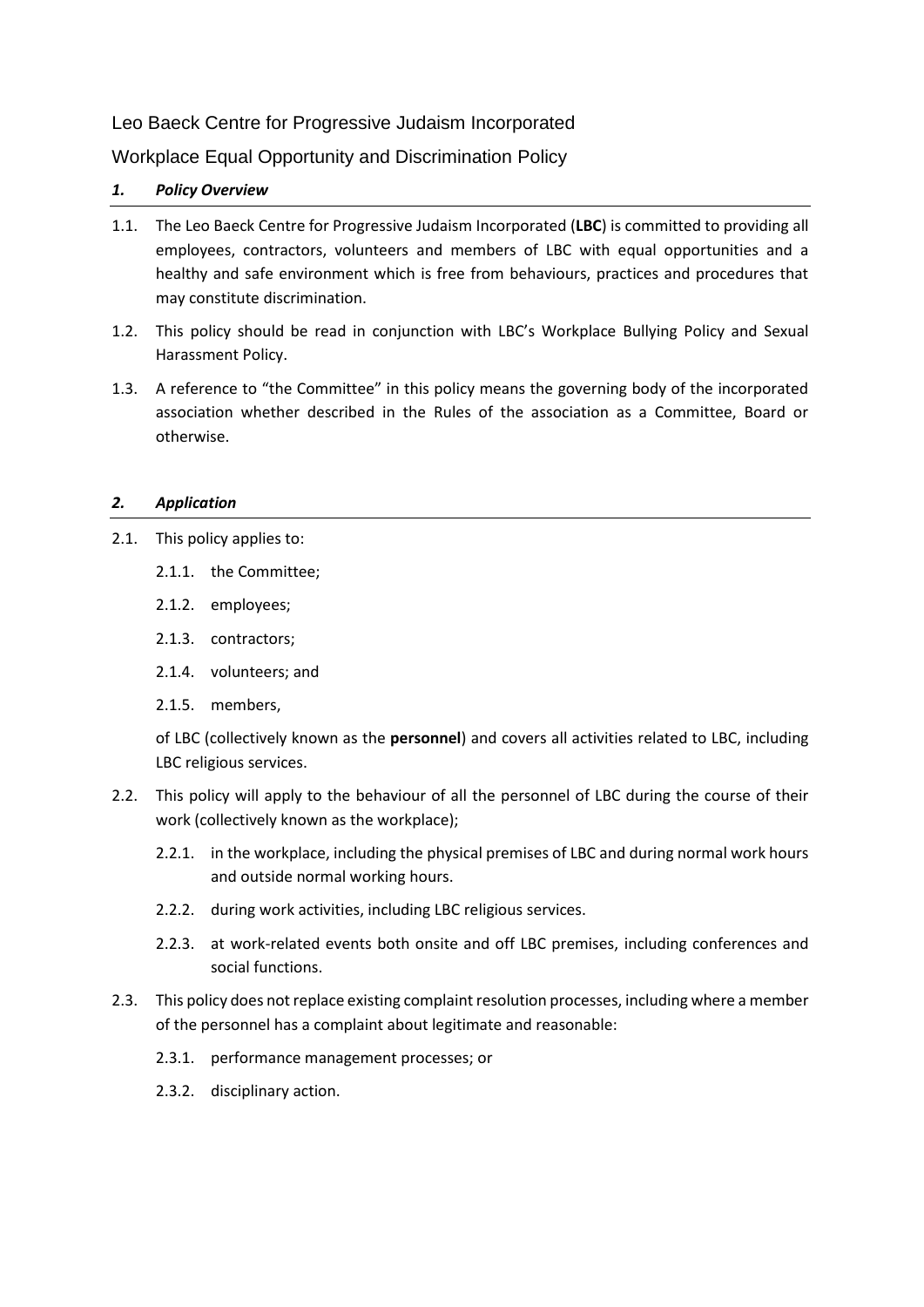# Leo Baeck Centre for Progressive Judaism Incorporated

Workplace Equal Opportunity and Discrimination Policy

## *1. Policy Overview*

- 1.1. The Leo Baeck Centre for Progressive Judaism Incorporated (**LBC**) is committed to providing all employees, contractors, volunteers and members of LBC with equal opportunities and a healthy and safe environment which is free from behaviours, practices and procedures that may constitute discrimination.
- 1.2. This policy should be read in conjunction with LBC's Workplace Bullying Policy and Sexual Harassment Policy.
- 1.3. A reference to "the Committee" in this policy means the governing body of the incorporated association whether described in the Rules of the association as a Committee, Board or otherwise.

## *2. Application*

- 2.1. This policy applies to:
	- 2.1.1. the Committee;
	- 2.1.2. employees;
	- 2.1.3. contractors;
	- 2.1.4. volunteers; and
	- 2.1.5. members,

of LBC (collectively known as the **personnel**) and covers all activities related to LBC, including LBC religious services.

- 2.2. This policy will apply to the behaviour of all the personnel of LBC during the course of their work (collectively known as the workplace);
	- 2.2.1. in the workplace, including the physical premises of LBC and during normal work hours and outside normal working hours.
	- 2.2.2. during work activities, including LBC religious services.
	- 2.2.3. at work-related events both onsite and off LBC premises, including conferences and social functions.
- 2.3. This policy does not replace existing complaint resolution processes, including where a member of the personnel has a complaint about legitimate and reasonable:
	- 2.3.1. performance management processes; or
	- 2.3.2. disciplinary action.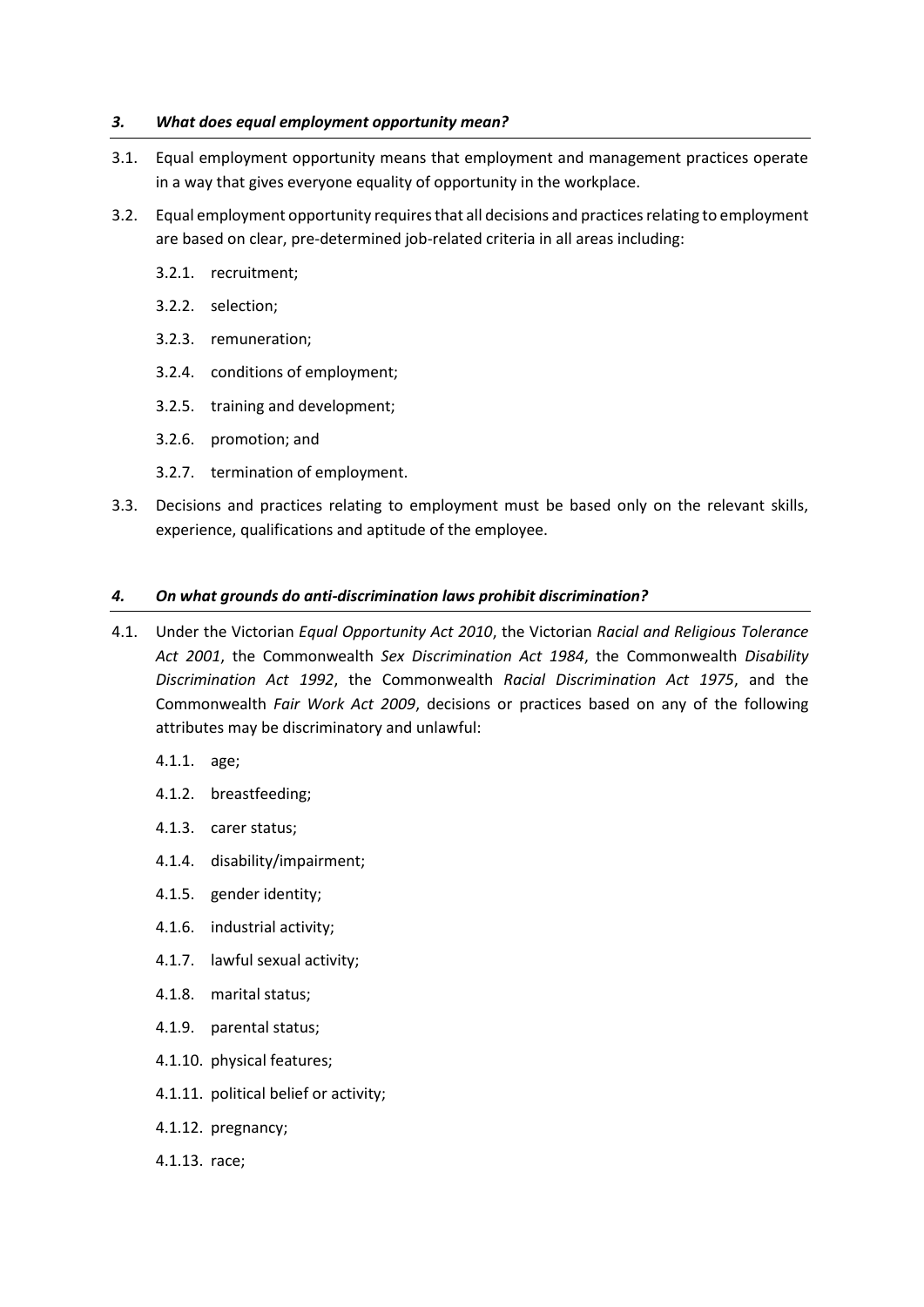## *3. What does equal employment opportunity mean?*

- 3.1. Equal employment opportunity means that employment and management practices operate in a way that gives everyone equality of opportunity in the workplace.
- 3.2. Equal employment opportunity requires that all decisions and practices relating to employment are based on clear, pre-determined job-related criteria in all areas including:
	- 3.2.1. recruitment;
	- 3.2.2. selection;
	- 3.2.3. remuneration;
	- 3.2.4. conditions of employment;
	- 3.2.5. training and development;
	- 3.2.6. promotion; and
	- 3.2.7. termination of employment.
- 3.3. Decisions and practices relating to employment must be based only on the relevant skills, experience, qualifications and aptitude of the employee.

## *4. On what grounds do anti-discrimination laws prohibit discrimination?*

- 4.1. Under the Victorian *Equal Opportunity Act 2010*, the Victorian *Racial and Religious Tolerance Act 2001*, the Commonwealth *Sex Discrimination Act 1984*, the Commonwealth *Disability Discrimination Act 1992*, the Commonwealth *Racial Discrimination Act 1975*, and the Commonwealth *Fair Work Act 2009*, decisions or practices based on any of the following attributes may be discriminatory and unlawful:
	- 4.1.1. [age;](about:blank)
	- 4.1.2. [breastfeeding;](about:blank)
	- 4.1.3. [carer status;](about:blank)
	- 4.1.4. [disability/impairment;](about:blank)
	- 4.1.5. [gender identity;](about:blank)
	- 4.1.6. [industrial activity;](about:blank)
	- 4.1.7. [lawful sexual activity;](about:blank)
	- 4.1.8. [marital status;](about:blank)
	- 4.1.9. [parental status;](about:blank)
	- 4.1.10. [physical features;](about:blank)
	- 4.1.11. [political belief or activity;](about:blank)
	- 4.1.12. [pregnancy;](about:blank)
	- 4.1.13. [race;](about:blank)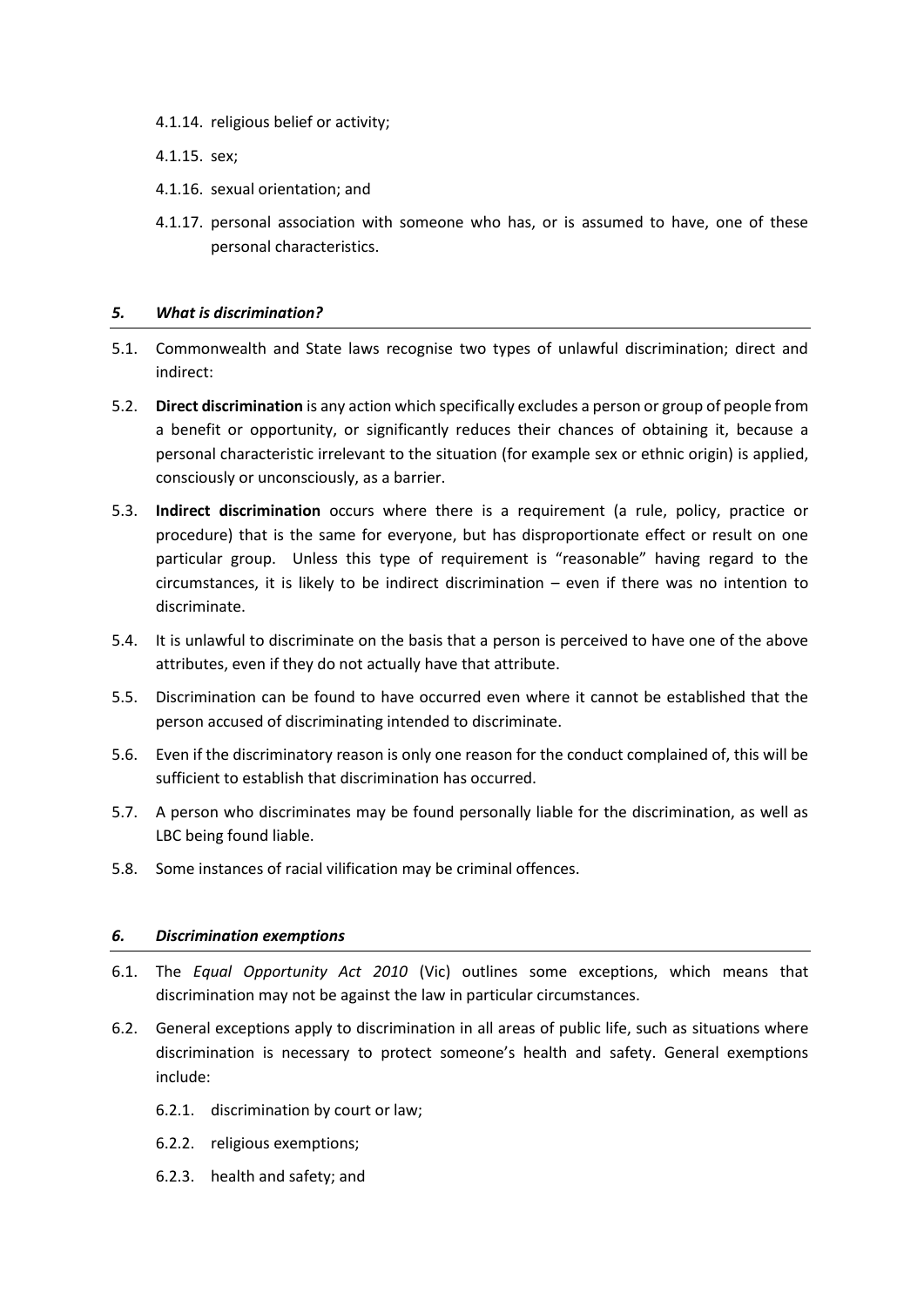- 4.1.14. [religious belief or activity;](about:blank)
- 4.1.15. [sex;](about:blank)
- 4.1.16. [sexual orientation;](about:blank) and
- 4.1.17. [personal association](about:blank) with someone who has, or is assumed to have, one of these personal characteristics.

## *5. What is discrimination?*

- 5.1. Commonwealth and State laws recognise two types of unlawful discrimination; direct and indirect:
- 5.2. **Direct discrimination** is any action which specifically excludes a person or group of people from a benefit or opportunity, or significantly reduces their chances of obtaining it, because a personal characteristic irrelevant to the situation (for example sex or ethnic origin) is applied, consciously or unconsciously, as a barrier.
- 5.3. **Indirect discrimination** occurs where there is a requirement (a rule, policy, practice or procedure) that is the same for everyone, but has disproportionate effect or result on one particular group. Unless this type of requirement is "reasonable" having regard to the circumstances, it is likely to be indirect discrimination – even if there was no intention to discriminate.
- 5.4. It is unlawful to discriminate on the basis that a person is perceived to have one of the above attributes, even if they do not actually have that attribute.
- 5.5. Discrimination can be found to have occurred even where it cannot be established that the person accused of discriminating intended to discriminate.
- 5.6. Even if the discriminatory reason is only one reason for the conduct complained of, this will be sufficient to establish that discrimination has occurred.
- 5.7. A person who discriminates may be found personally liable for the discrimination, as well as LBC being found liable.
- 5.8. Some instances of racial vilification may be criminal offences.

## *6. Discrimination exemptions*

- 6.1. The *Equal Opportunity Act 2010* (Vic) outlines some exceptions, which means that discrimination may not be against the law in particular circumstances.
- 6.2. General exceptions apply to discrimination in all areas of public life, such as situations where discrimination is necessary to protect someone's health and safety. General exemptions include:
	- 6.2.1. discrimination by court or law;
	- 6.2.2. religious exemptions;
	- 6.2.3. health and safety; and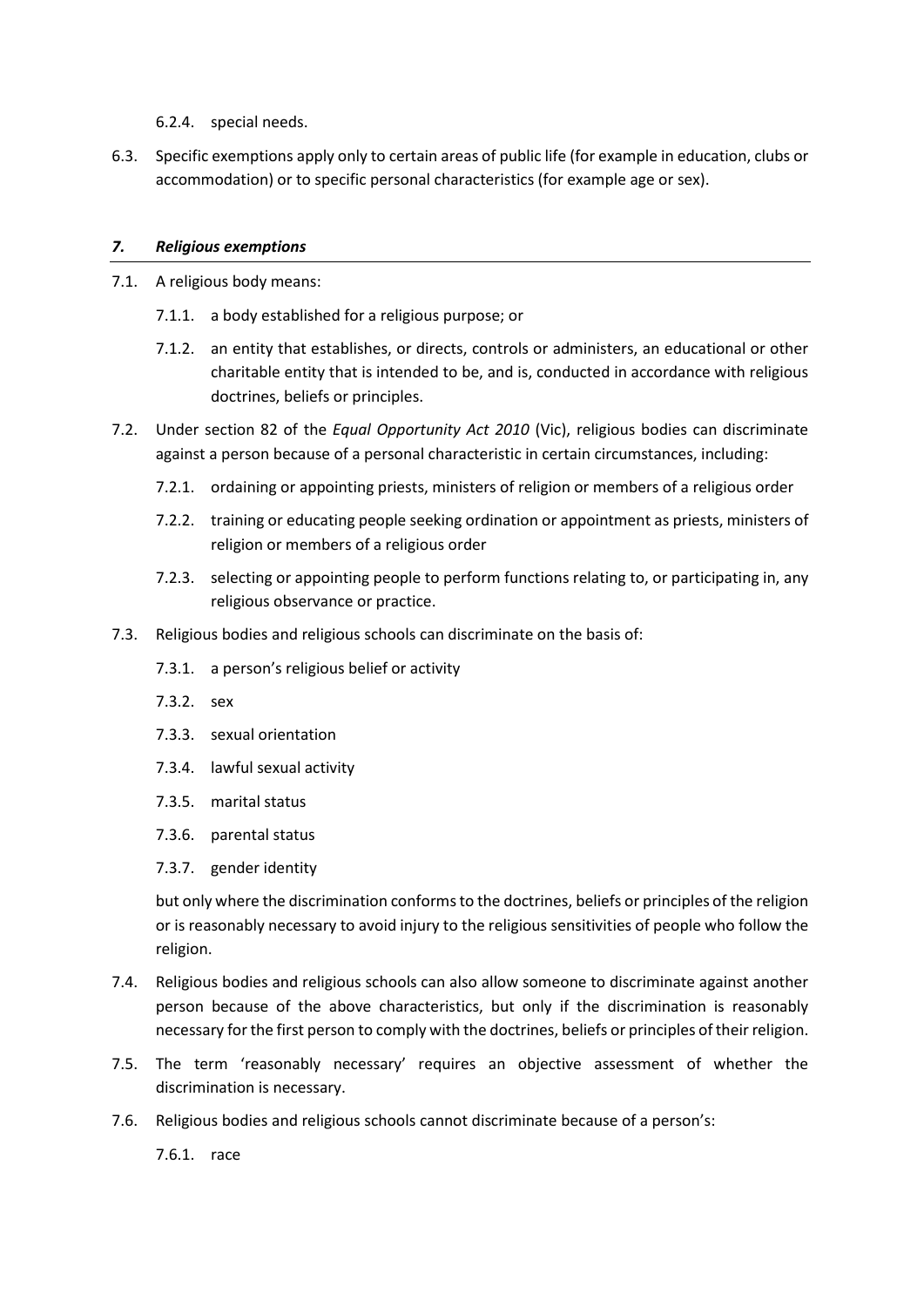- 6.2.4. special needs.
- 6.3. Specific exemptions apply only to certain areas of public life (for example in education, clubs or accommodation) or to specific personal characteristics (for example age or sex).

## *7. Religious exemptions*

- 7.1. A religious body means:
	- 7.1.1. a body established for a religious purpose; or
	- 7.1.2. an entity that establishes, or directs, controls or administers, an educational or other charitable entity that is intended to be, and is, conducted in accordance with religious doctrines, beliefs or principles.
- 7.2. Under section 82 of the *Equal Opportunity Act 2010* (Vic), religious bodies can discriminate against a person because of a personal characteristic in certain circumstances, including:
	- 7.2.1. ordaining or appointing priests, ministers of religion or members of a religious order
	- 7.2.2. training or educating people seeking ordination or appointment as priests, ministers of religion or members of a religious order
	- 7.2.3. selecting or appointing people to perform functions relating to, or participating in, any religious observance or practice.
- 7.3. Religious bodies and religious schools can discriminate on the basis of:
	- 7.3.1. a person's religious belief or activity
	- 7.3.2. sex
	- 7.3.3. sexual orientation
	- 7.3.4. lawful sexual activity
	- 7.3.5. marital status
	- 7.3.6. parental status
	- 7.3.7. gender identity

but only where the discrimination conforms to the doctrines, beliefs or principles of the religion or is reasonably necessary to avoid injury to the religious sensitivities of people who follow the religion.

- 7.4. Religious bodies and religious schools can also allow someone to discriminate against another person because of the above characteristics, but only if the discrimination is reasonably necessary for the first person to comply with the doctrines, beliefs or principles of their religion.
- 7.5. The term 'reasonably necessary' requires an objective assessment of whether the discrimination is necessary.
- 7.6. Religious bodies and religious schools cannot discriminate because of a person's:

7.6.1. race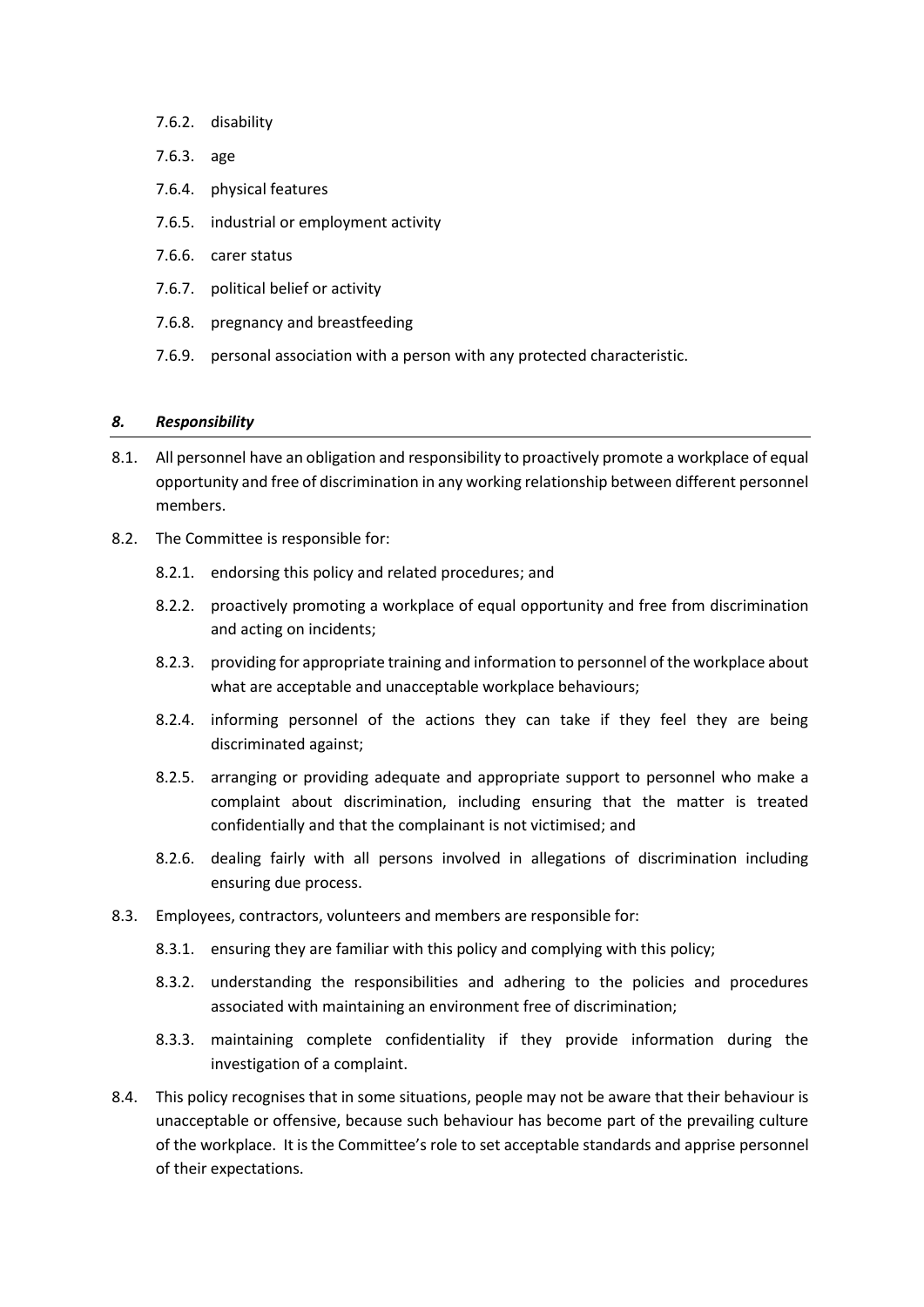- 7.6.2. disability
- 7.6.3. age
- 7.6.4. physical features
- 7.6.5. industrial or employment activity
- 7.6.6. carer status
- 7.6.7. political belief or activity
- 7.6.8. pregnancy and breastfeeding
- 7.6.9. personal association with a person with any protected characteristic.

#### *8. Responsibility*

- 8.1. All personnel have an obligation and responsibility to proactively promote a workplace of equal opportunity and free of discrimination in any working relationship between different personnel members.
- 8.2. The Committee is responsible for:
	- 8.2.1. endorsing this policy and related procedures; and
	- 8.2.2. proactively promoting a workplace of equal opportunity and free from discrimination and acting on incidents;
	- 8.2.3. providing for appropriate training and information to personnel of the workplace about what are acceptable and unacceptable workplace behaviours;
	- 8.2.4. informing personnel of the actions they can take if they feel they are being discriminated against;
	- 8.2.5. arranging or providing adequate and appropriate support to personnel who make a complaint about discrimination, including ensuring that the matter is treated confidentially and that the complainant is not victimised; and
	- 8.2.6. dealing fairly with all persons involved in allegations of discrimination including ensuring due process.
- 8.3. Employees, contractors, volunteers and members are responsible for:
	- 8.3.1. ensuring they are familiar with this policy and complying with this policy;
	- 8.3.2. understanding the responsibilities and adhering to the policies and procedures associated with maintaining an environment free of discrimination;
	- 8.3.3. maintaining complete confidentiality if they provide information during the investigation of a complaint.
- 8.4. This policy recognises that in some situations, people may not be aware that their behaviour is unacceptable or offensive, because such behaviour has become part of the prevailing culture of the workplace. It is the Committee's role to set acceptable standards and apprise personnel of their expectations.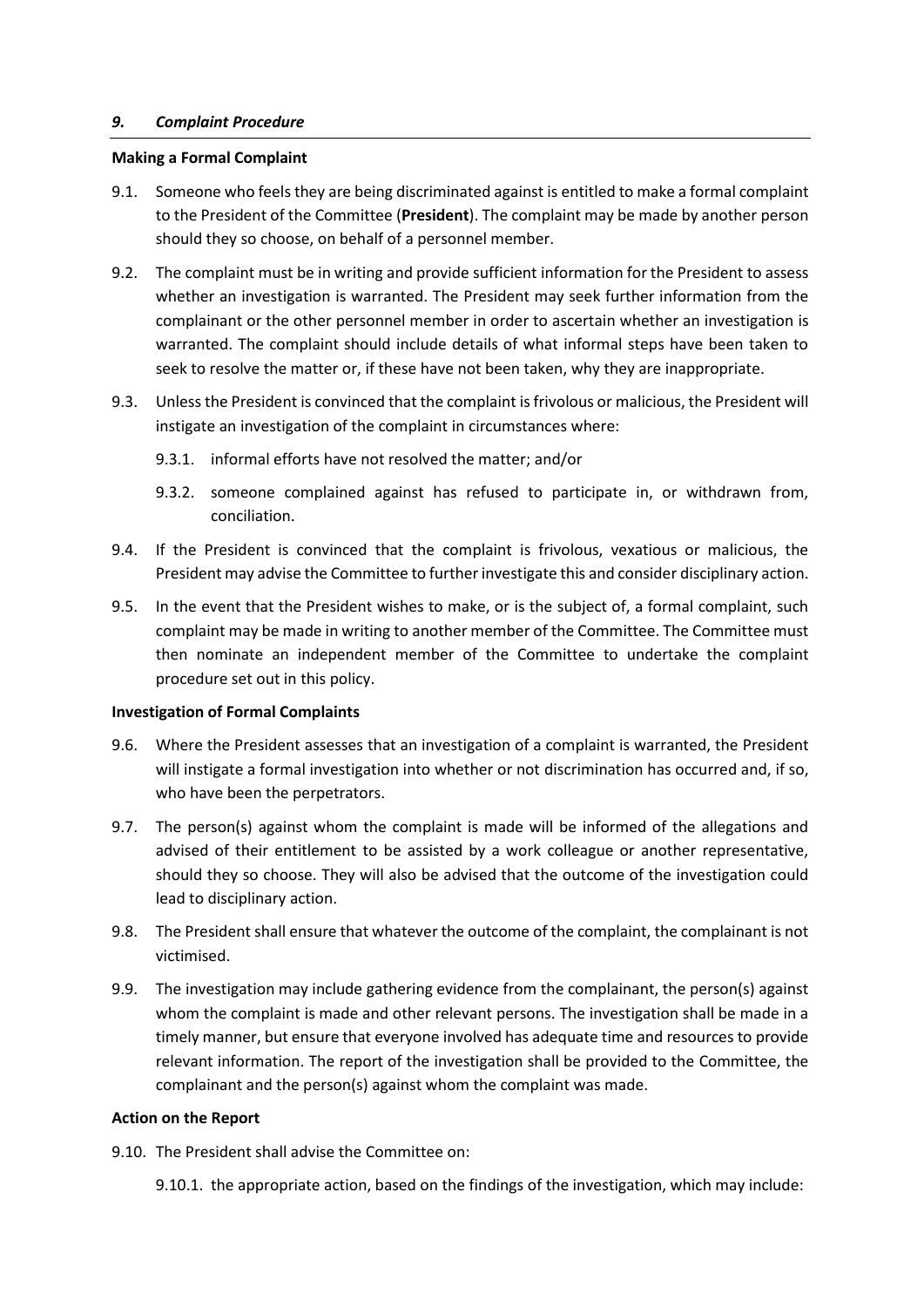## *9. Complaint Procedure*

### **Making a Formal Complaint**

- 9.1. Someone who feels they are being discriminated against is entitled to make a formal complaint to the President of the Committee (**President**). The complaint may be made by another person should they so choose, on behalf of a personnel member.
- 9.2. The complaint must be in writing and provide sufficient information for the President to assess whether an investigation is warranted. The President may seek further information from the complainant or the other personnel member in order to ascertain whether an investigation is warranted. The complaint should include details of what informal steps have been taken to seek to resolve the matter or, if these have not been taken, why they are inappropriate.
- 9.3. Unless the President is convinced that the complaint is frivolous or malicious, the President will instigate an investigation of the complaint in circumstances where:
	- 9.3.1. informal efforts have not resolved the matter; and/or
	- 9.3.2. someone complained against has refused to participate in, or withdrawn from, conciliation.
- 9.4. If the President is convinced that the complaint is frivolous, vexatious or malicious, the President may advise the Committee to further investigate this and consider disciplinary action.
- 9.5. In the event that the President wishes to make, or is the subject of, a formal complaint, such complaint may be made in writing to another member of the Committee. The Committee must then nominate an independent member of the Committee to undertake the complaint procedure set out in this policy.

## **Investigation of Formal Complaints**

- 9.6. Where the President assesses that an investigation of a complaint is warranted, the President will instigate a formal investigation into whether or not discrimination has occurred and, if so, who have been the perpetrators.
- 9.7. The person(s) against whom the complaint is made will be informed of the allegations and advised of their entitlement to be assisted by a work colleague or another representative, should they so choose. They will also be advised that the outcome of the investigation could lead to disciplinary action.
- 9.8. The President shall ensure that whatever the outcome of the complaint, the complainant is not victimised.
- 9.9. The investigation may include gathering evidence from the complainant, the person(s) against whom the complaint is made and other relevant persons. The investigation shall be made in a timely manner, but ensure that everyone involved has adequate time and resources to provide relevant information. The report of the investigation shall be provided to the Committee, the complainant and the person(s) against whom the complaint was made.

## **Action on the Report**

9.10. The President shall advise the Committee on:

9.10.1. the appropriate action, based on the findings of the investigation, which may include: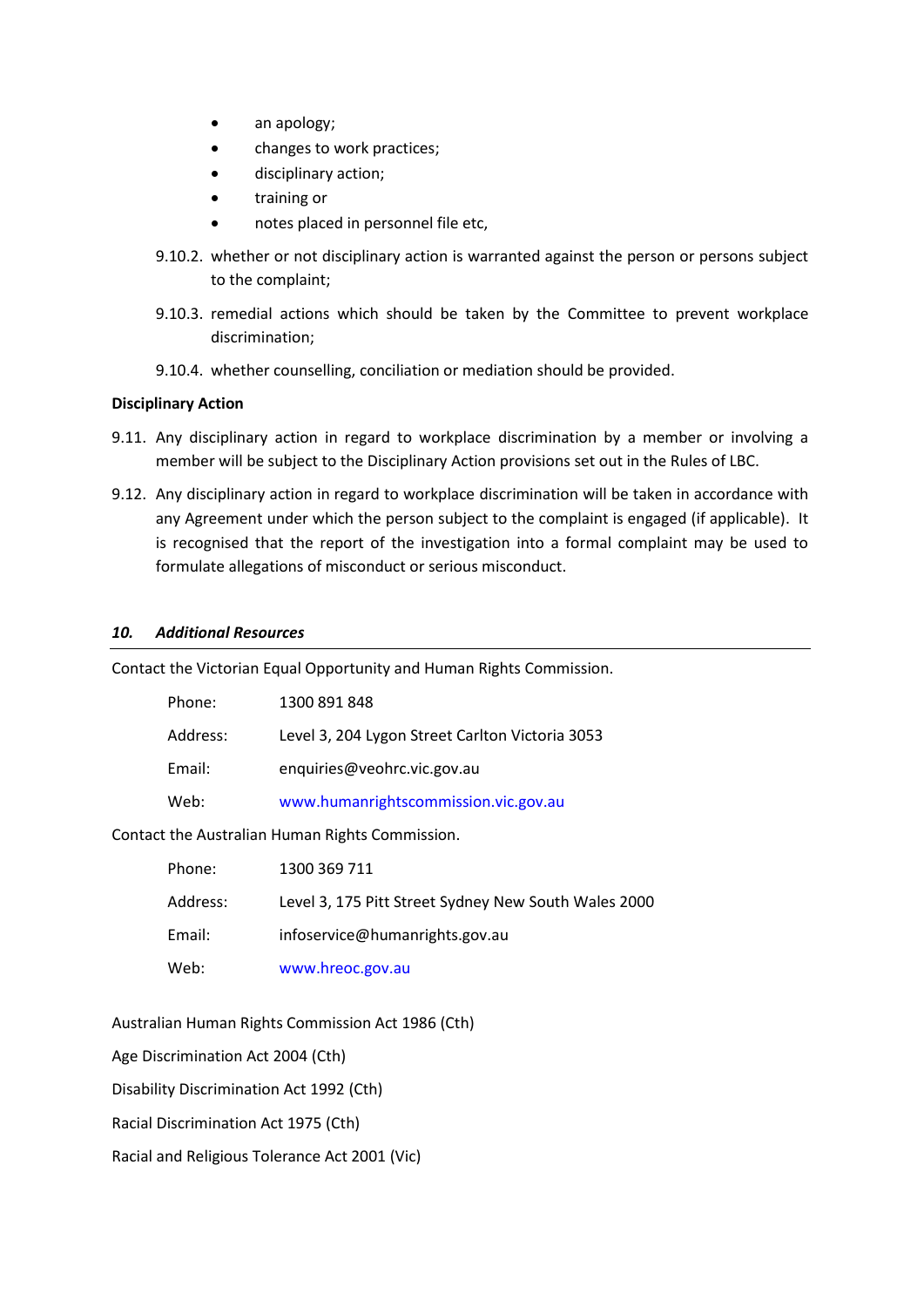- an apology;
- changes to work practices;
- disciplinary action;
- training or
- notes placed in personnel file etc,
- 9.10.2. whether or not disciplinary action is warranted against the person or persons subject to the complaint;
- 9.10.3. remedial actions which should be taken by the Committee to prevent workplace discrimination;
- 9.10.4. whether counselling, conciliation or mediation should be provided.

#### **Disciplinary Action**

- 9.11. Any disciplinary action in regard to workplace discrimination by a member or involving a member will be subject to the Disciplinary Action provisions set out in the Rules of LBC.
- 9.12. Any disciplinary action in regard to workplace discrimination will be taken in accordance with any Agreement under which the person subject to the complaint is engaged (if applicable). It is recognised that the report of the investigation into a formal complaint may be used to formulate allegations of misconduct or serious misconduct.

#### *10. Additional Resources*

Contact the Victorian Equal Opportunity and Human Rights Commission.

| Phone:   | 1300 891 848                                    |
|----------|-------------------------------------------------|
| Address: | Level 3, 204 Lygon Street Carlton Victoria 3053 |
| Email:   | enquiries@veohrc.vic.gov.au                     |
| Web:     | www.humanrightscommission.vic.gov.au            |
|          |                                                 |

Contact the Australian Human Rights Commission.

| Phone:   | 1300 369 711                                         |
|----------|------------------------------------------------------|
| Address: | Level 3, 175 Pitt Street Sydney New South Wales 2000 |
| Email:   | infoservice@humanrights.gov.au                       |
| Web:     | www.hreoc.gov.au                                     |

Australian Human Rights Commission Act 1986 (Cth)

Age Discrimination Act 2004 (Cth)

Disability Discrimination Act 1992 (Cth)

Racial Discrimination Act 1975 (Cth)

Racial and Religious Tolerance Act 2001 (Vic)